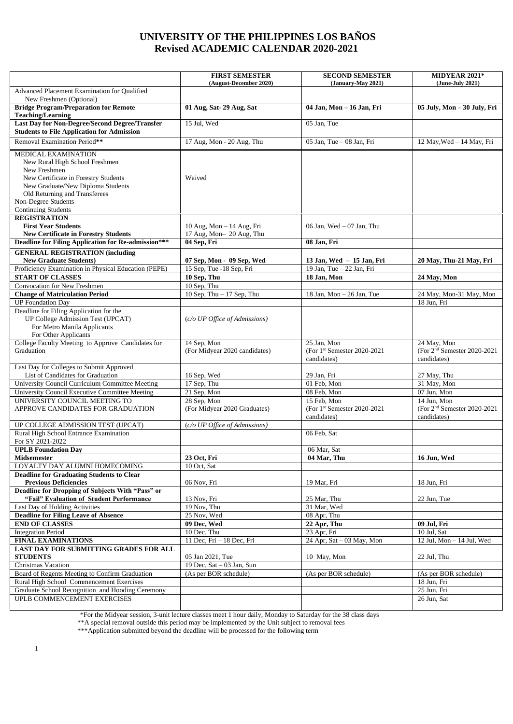## **UNIVERSITY OF THE PHILIPPINES LOS BAÑOS Revised ACADEMIC CALENDAR 2020-2021**

|                                                                                                                                                                                                                                          | <b>FIRST SEMESTER</b>                                 | <b>SECOND SEMESTER</b>                                    | MIDYEAR 2021*                                               |
|------------------------------------------------------------------------------------------------------------------------------------------------------------------------------------------------------------------------------------------|-------------------------------------------------------|-----------------------------------------------------------|-------------------------------------------------------------|
| Advanced Placement Examination for Qualified                                                                                                                                                                                             | (August-December 2020)                                | (January-May 2021)                                        | (June-July 2021)                                            |
| New Freshmen (Optional)                                                                                                                                                                                                                  |                                                       |                                                           |                                                             |
| <b>Bridge Program/Preparation for Remote</b><br><b>Teaching/Learning</b>                                                                                                                                                                 | 01 Aug, Sat- 29 Aug, Sat                              | 04 Jan, Mon - 16 Jan, Fri                                 | 05 July, Mon - 30 July, Fri                                 |
| <b>Last Day for Non-Degree/Second Degree/Transfer</b><br><b>Students to File Application for Admission</b>                                                                                                                               | 15 Jul, Wed                                           | 05 Jan, Tue                                               |                                                             |
| Removal Examination Period**                                                                                                                                                                                                             | 17 Aug, Mon - 20 Aug, Thu                             | 05 Jan, Tue - 08 Jan, Fri                                 | 12 May, Wed - 14 May, Fri                                   |
| MEDICAL EXAMINATION<br>New Rural High School Freshmen<br>New Freshmen<br>New Certificate in Forestry Students<br>New Graduate/New Diploma Students<br>Old Returning and Transferees<br>Non-Degree Students<br><b>Continuing Students</b> | Waived                                                |                                                           |                                                             |
| <b>REGISTRATION</b><br><b>First Year Students</b>                                                                                                                                                                                        | 10 Aug, Mon - 14 Aug, Fri                             | 06 Jan, Wed $-07$ Jan, Thu                                |                                                             |
| <b>New Certificate in Forestry Students</b>                                                                                                                                                                                              | 17 Aug, Mon- 20 Aug, Thu                              |                                                           |                                                             |
| <b>Deadline for Filing Application for Re-admission***</b>                                                                                                                                                                               | 04 Sep, Fri                                           | 08 Jan, Fri                                               |                                                             |
| <b>GENERAL REGISTRATION (including</b><br><b>New Graduate Students)</b>                                                                                                                                                                  |                                                       |                                                           |                                                             |
| Proficiency Examination in Physical Education (PEPE)                                                                                                                                                                                     | 07 Sep, Mon - 09 Sep, Wed<br>15 Sep, Tue -18 Sep, Fri | 13 Jan, Wed - 15 Jan, Fri<br>19 Jan, Tue - 22 Jan, Fri    | 20 May, Thu-21 May, Fri                                     |
| <b>START OF CLASSES</b>                                                                                                                                                                                                                  | 10 Sep, Thu                                           | 18 Jan, Mon                                               | 24 May, Mon                                                 |
| Convocation for New Freshmen                                                                                                                                                                                                             | 10 Sep, Thu                                           |                                                           |                                                             |
| <b>Change of Matriculation Period</b>                                                                                                                                                                                                    | 10 Sep, Thu $-17$ Sep, Thu                            | 18 Jan, Mon $-$ 26 Jan, Tue                               | 24 May, Mon-31 May, Mon                                     |
| <b>UP</b> Foundation Day                                                                                                                                                                                                                 |                                                       |                                                           | 18 Jun. Fri                                                 |
| Deadline for Filing Application for the<br>UP College Admission Test (UPCAT)<br>For Metro Manila Applicants<br>For Other Applicants                                                                                                      | (c/o UP Office of Admissions)                         |                                                           |                                                             |
| College Faculty Meeting to Approve Candidates for                                                                                                                                                                                        | 14 Sep, Mon                                           | 25 Jan, Mon                                               | 24 May, Mon                                                 |
| Graduation                                                                                                                                                                                                                               | (For Midyear 2020 candidates)                         | (For 1st Semester 2020-2021<br>candidates)                | (For 2 <sup>nd</sup> Semester 2020-2021<br>candidates)      |
| Last Day for Colleges to Submit Approved                                                                                                                                                                                                 |                                                       |                                                           |                                                             |
| List of Candidates for Graduation                                                                                                                                                                                                        | 16 Sep, Wed                                           | 29 Jan, Fri                                               | 27 May, Thu                                                 |
| University Council Curriculum Committee Meeting                                                                                                                                                                                          | 17 Sep, Thu                                           | 01 Feb, Mon                                               | 31 May, Mon                                                 |
| University Council Executive Committee Meeting                                                                                                                                                                                           | 21 Sep, Mon                                           | 08 Feb, Mon                                               | 07 Jun, Mon                                                 |
| UNIVERSITY COUNCIL MEETING TO<br>APPROVE CANDIDATES FOR GRADUATION                                                                                                                                                                       | 28 Sep, Mon<br>(For Midyear 2020 Graduates)           | 15 Feb, Mon<br>(For 1st Semester 2020-2021<br>candidates) | 14 Jun. Mon<br>(For $2nd$ Semester 2020-2021<br>candidates) |
| UP COLLEGE ADMISSION TEST (UPCAT)                                                                                                                                                                                                        | (c/o UP Office of Admissions)                         |                                                           |                                                             |
| Rural High School Entrance Examination<br>For SY 2021-2022                                                                                                                                                                               |                                                       | 06 Feb, Sat                                               |                                                             |
| <b>UPLB</b> Foundation Day                                                                                                                                                                                                               |                                                       | 06 Mar, Sat                                               |                                                             |
| <b>Midsemester</b>                                                                                                                                                                                                                       | 23 Oct, Fri                                           | 04 Mar, Thu                                               | 16 Jun, Wed                                                 |
| LOYALTY DAY ALUMNI HOMECOMING                                                                                                                                                                                                            | 10 Oct, Sat                                           |                                                           |                                                             |
| <b>Deadline for Graduating Students to Clear</b>                                                                                                                                                                                         |                                                       |                                                           |                                                             |
| <b>Previous Deficiencies</b><br>Deadline for Dropping of Subjects With "Pass" or                                                                                                                                                         | 06 Nov, Fri                                           | 19 Mar, Fri                                               | 18 Jun, Fri                                                 |
| "Fail" Evaluation of Student Performance                                                                                                                                                                                                 | 13 Nov, Fri                                           | 25 Mar, Thu                                               | 22 Jun. Tue                                                 |
| Last Day of Holding Activities                                                                                                                                                                                                           | 19 Nov, Thu                                           | 31 Mar, Wed                                               |                                                             |
| <b>Deadline for Filing Leave of Absence</b>                                                                                                                                                                                              | 25 Nov, Wed                                           | 08 Apr, Thu                                               |                                                             |
| <b>END OF CLASSES</b>                                                                                                                                                                                                                    | 09 Dec, Wed                                           | 22 Apr, Thu                                               | 09 Jul, Fri                                                 |
| <b>Integration Period</b>                                                                                                                                                                                                                | 10 Dec. Thu                                           | 23 Apr, Fri                                               | 10 Jul, Sat                                                 |
| <b>FINAL EXAMINATIONS</b>                                                                                                                                                                                                                | 11 Dec, Fri - 18 Dec, Fri                             | 24 Apr, Sat $-03$ May, Mon                                | 12 Jul, Mon - 14 Jul, Wed                                   |
| <b>LAST DAY FOR SUBMITTING GRADES FOR ALL</b>                                                                                                                                                                                            |                                                       |                                                           |                                                             |
| <b>STUDENTS</b>                                                                                                                                                                                                                          | 05 Jan 2021, Tue                                      | 10 May, Mon                                               | 22 Jul, Thu                                                 |
| Christmas Vacation                                                                                                                                                                                                                       | 19 Dec, Sat $-03$ Jan, Sun                            |                                                           |                                                             |
| Board of Regents Meeting to Confirm Graduation                                                                                                                                                                                           | (As per BOR schedule)                                 | (As per BOR schedule)                                     | (As per BOR schedule)                                       |
| Rural High School Commencement Exercises                                                                                                                                                                                                 |                                                       |                                                           | 18 Jun, Fri                                                 |
| Graduate School Recognition and Hooding Ceremony                                                                                                                                                                                         |                                                       |                                                           | 25 Jun, Fri                                                 |
| UPLB COMMENCEMENT EXERCISES                                                                                                                                                                                                              |                                                       |                                                           | 26 Jun, Sat                                                 |
|                                                                                                                                                                                                                                          |                                                       |                                                           |                                                             |

\*For the Midyear session, 3-unit lecture classes meet 1 hour daily, Monday to Saturday for the 38 class days

\*\*A special removal outside this period may be implemented by the Unit subject to removal fees

\*\*\*Application submitted beyond the deadline will be processed for the following term